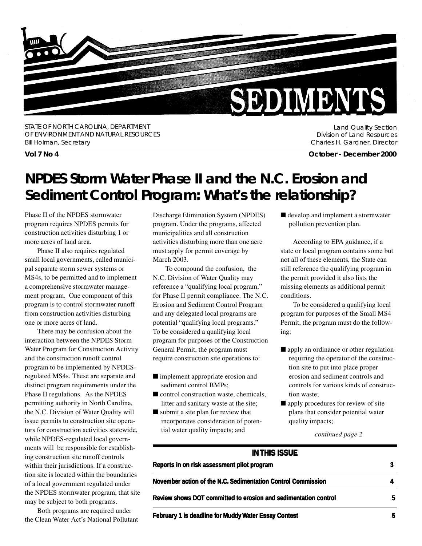

STATE OF NORTH CAROLINA, DEPARTMENT OF ENVIRONMENT AND NATURAL RESOURCES Bill Holman, Secretary

Land Quality Section Division of Land Resources Charles H. Gardner, Director

**Vol 7 No 4 October - December 2000**

## **NPDES Storm Water Phase II and the N.C. Erosion and Sediment Control Program: What's the relationship?**

Phase II of the NPDES stormwater program requires NPDES permits for construction activities disturbing 1 or more acres of land area.

Phase II also requires regulated small local governments, called municipal separate storm sewer systems or MS4s, to be permitted and to implement a comprehensive stormwater management program. One component of this program is to control stormwater runoff from construction activities disturbing one or more acres of land.

There may be confusion about the interaction between the NPDES Storm Water Program for Construction Activity and the construction runoff control program to be implemented by NPDESregulated MS4s. These are separate and distinct program requirements under the Phase II regulations. As the NPDES permitting authority in North Carolina, the N.C. Division of Water Quality will issue permits to construction site operators for construction activities statewide, while NPDES-regulated local governments will be responsible for establishing construction site runoff controls within their jurisdictions. If a construction site is located within the boundaries of a local government regulated under the NPDES stormwater program, that site may be subject to both programs.

Both programs are required under the Clean Water Act's National Pollutant Discharge Elimination System (NPDES) program. Under the programs, affected municipalities and all construction activities disturbing more than one acre must apply for permit coverage by March 2003.

To compound the confusion, the N.C. Division of Water Quality may reference a "qualifying local program," for Phase II permit compliance. The N.C. Erosion and Sediment Control Program and any delegated local programs are potential "qualifying local programs." To be considered a qualifying local program for purposes of the Construction General Permit, the program must require construction site operations to:

- implement appropriate erosion and sediment control BMPs;
- control construction waste, chemicals, litter and sanitary waste at the site;
- submit a site plan for review that incorporates consideration of potential water quality impacts; and

■ develop and implement a stormwater pollution prevention plan.

According to EPA guidance, if a state or local program contains some but not all of these elements, the State can still reference the qualifying program in the permit provided it also lists the missing elements as additional permit conditions.

To be considered a qualifying local program for purposes of the Small MS4 Permit, the program must do the following:

- apply an ordinance or other regulation requiring the operator of the construction site to put into place proper erosion and sediment controls and controls for various kinds of construction waste;
- apply procedures for review of site plans that consider potential water quality impacts;

*continued page 2*

| <b>IN THIS ISSUE</b>                                            |   |
|-----------------------------------------------------------------|---|
| Reports in on risk assessment pilot program                     |   |
| November action of the N.C. Sedimentation Control Commission    |   |
| Review shows DOT committed to erosion and sedimentation control | 5 |
| <b>February 1 is deadline for Muddy Water Essay Contest</b>     | 5 |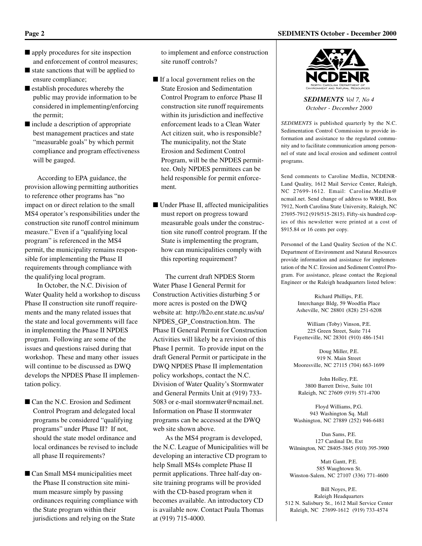■ apply procedures for site inspection and enforcement of control measures;

- state sanctions that will be applied to ensure compliance;
- establish procedures whereby the public may provide information to be considered in implementing/enforcing the permit;
- include a description of appropriate best management practices and state "measurable goals" by which permit compliance and program effectiveness will be gauged.

According to EPA guidance, the provision allowing permitting authorities to reference other programs has "no impact on or direct relation to the small MS4 operator's responsibilities under the construction site runoff control minimum measure." Even if a "qualifying local program" is referenced in the MS4 permit, the municipality remains responsible for implementing the Phase II requirements through compliance with the qualifying local program.

In October, the N.C. Division of Water Quality held a workshop to discuss Phase II construction site runoff requirements and the many related issues that the state and local governments will face in implementing the Phase II NPDES program. Following are some of the issues and questions raised during that workshop. These and many other issues will continue to be discussed as DWQ develops the NPDES Phase II implementation policy.

- Can the N.C. Erosion and Sediment Control Program and delegated local programs be considered "qualifying programs" under Phase II? If not, should the state model ordinance and local ordinances be revised to include all phase II requirements?
- Can Small MS4 municipalities meet the Phase II construction site minimum measure simply by passing ordinances requiring compliance with the State program within their jurisdictions and relying on the State

to implement and enforce construction site runoff controls?

- If a local government relies on the State Erosion and Sedimentation Control Program to enforce Phase II construction site runoff requirements within its jurisdiction and ineffective enforcement leads to a Clean Water Act citizen suit, who is responsible? The municipality, not the State Erosion and Sediment Control Program, will be the NPDES permittee. Only NPDES permittees can be held responsible for permit enforcement.
- Under Phase II, affected municipalities must report on progress toward measurable goals under the construction site runoff control program. If the State is implementing the program, how can municipalities comply with this reporting requirement?

The current draft NPDES Storm Water Phase I General Permit for Construction Activities disturbing 5 or more acres is posted on the DWQ website at: http://h2o.enr.state.nc.us/su/ NPDES\_GP\_Construction.htm. The Phase II General Permit for Construction Activities will likely be a revision of this Phase I permit. To provide input on the draft General Permit or participate in the DWQ NPDES Phase II implementation policy workshops, contact the N.C. Division of Water Quality's Stormwater and General Permits Unit at (919) 733- 5083 or e-mail stormwater@ncmail.net. Information on Phase II stormwater programs can be accessed at the DWQ web site shown above.

As the MS4 program is developed, the N.C. League of Municipalities will be developing an interactive CD program to help Small MS4s complete Phase II permit applications. Three half-day onsite training programs will be provided with the CD-based program when it becomes available. An introductory CD is available now. Contact Paula Thomas at (919) 715-4000.



*SEDIMENTS Vol 7, No 4 October - December 2000*

*SEDIMENTS* is published quarterly by the N.C. Sedimentation Control Commission to provide information and assistance to the regulated community and to facilitate communication among personnel of state and local erosion and sediment control programs.

Send comments to Caroline Medlin, NCDENR-Land Quality, 1612 Mail Service Center, Raleigh, NC 27699-1612. Email: Caroline.Medlin@ ncmail.net. Send change of address to WRRI, Box 7912, North Carolina State University, Raleigh, NC 27695-7912 (919/515-2815). Fifty-six hundred copies of this newsletter were printed at a cost of \$915.84 or 16 cents per copy.

Personnel of the Land Quality Section of the N.C. Department of Environment and Natural Resources provide information and assistance for implementation of the N.C. Erosion and Sediment Control Program. For assistance, please contact the Regional Engineer or the Raleigh headquarters listed below:

> Richard Phillips, P.E. Interchange Bldg, 59 Woodfin Place Asheville, NC 28801 (828) 251-6208

William (Toby) Vinson, P.E. 225 Green Street, Suite 714 Fayetteville, NC 28301 (910) 486-1541

Doug Miller, P.E. 919 N. Main Street Mooresville, NC 27115 (704) 663-1699

John Holley, P.E. 3800 Barrett Drive, Suite 101 Raleigh, NC 27609 (919) 571-4700

Floyd Williams, P.G. 943 Washington Sq. Mall Washington, NC 27889 (252) 946-6481

Dan Sams, P.E. 127 Cardinal Dr, Ext Wilmington, NC 28405-3845 (910) 395-3900

Matt Gantt, P.E. 585 Waughtown St. Winston-Salem, NC 27107 (336) 771-4600

Bill Noyes, P.E. Raleigh Headquarters 512 N. Salisbury St., 1612 Mail Service Center Raleigh, NC 27699-1612 (919) 733-4574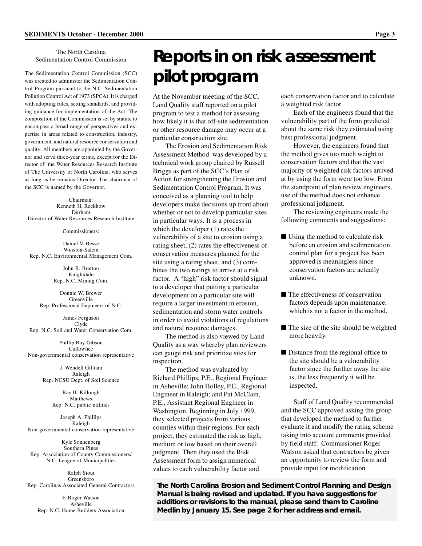#### The North Carolina Sedimentation Control Commission

The Sedimentation Control Commission (SCC) was created to administer the Sedimentation Control Program pursuant to the N.C. Sedimentation Pollution Control Act of 1973 (SPCA). It is charged with adopting rules, setting standards, and providing guidance for implementation of the Act. The composition of the Commission is set by statute to encompass a broad range of perspectives and expertise in areas related to construction, industry, government, and natural resource conservation and quality. All members are appointed by the Governor and serve three-year terms, except for the Director of the Water Resources Research Institute of The University of North Carolina, who serves as long as he remains Director. The chairman of the SCC is named by the Governor.

Chairman: Kenneth H. Reckhow Durham Director of Water Resources Research Institute

Commissioners:

Daniel V. Besse Winston-Salem Rep. N.C. Environmental Management Com.

> John R. Bratton Knightdale Rep. N.C. Mining Com.

Donnie W. Brewer Greenville Rep. Professional Engineers of N.C.

James Ferguson Clyde Rep. N.C. Soil and Water Conservation Com.

Phillip Ray Gibson Cullowhee Non-governmental conservation representative

> J. Wendell Gilliam Raleigh Rep. NCSU Dept. of Soil Science

> > Ray B. Killough Matthews Rep. N.C. public utilities

Joseph A. Phillips Raleigh Non-governmental conservation representative

Kyle Sonnenberg Southern Pines Rep. Association of County Commissioners/ N.C. League of Municipalities

Ralph Stout Greensboro Rep. Carolinas Associated General Contractors

F. Roger Watson Asheville Rep. N.C. Home Builders Association

# **Reports in on risk assessment pilot program**

At the November meeting of the SCC, Land Quality staff reported on a pilot program to test a method for assessing how likely it is that off-site sedimentation or other resource damage may occur at a particular construction site.

The Erosion and Sedimentation Risk Assessment Method was developed by a technical work group chaired by Russell Briggs as part of the SCC's Plan of Action for strengthening the Erosion and Sedimentation Control Program. It was conceived as a planning tool to help developers make decisions up front about whether or not to develop particular sites in particular ways. It is a process in which the developer (1) rates the vulnerability of a site to erosion using a rating sheet, (2) rates the effectiveness of conservation measures planned for the site using a rating sheet, and (3) combines the two ratings to arrive at a risk factor. A "high" risk factor should signal to a developer that putting a particular development on a particular site will require a larger investment in erosion, sedimentation and storm water controls in order to avoid violations of regulations and natural resource damages.

The method is also viewed by Land Quality as a way whereby plan reviewers can gauge risk and prioritize sites for inspection.

The method was evaluated by Richard Phillips, P.E., Regional Engineer in Asheville; John Holley, P.E., Regional Engineer in Raleigh; and Pat McClain, P.E., Assistant Regional Engineer in Washington. Beginning in July 1999, they selected projects from various counties within their regions. For each project, they estimated the risk as high, medium or low based on their overall judgment. Then they used the Risk Assessment form to assign numerical values to each vulnerability factor and

each conservation factor and to calculate a weighted risk factor.

Each of the engineers found that the vulnerability part of the form predicted about the same risk they estimated using best professional judgment.

However, the engineers found that the method gives too much weight to conservation factors and that the vast majority of weighted risk factors arrived at by using the form were too low. From the standpoint of plan review engineers, use of the method does not enhance professional judgment.

The reviewing engineers made the following comments and suggestions:

- Using the method to calculate risk before an erosion and sedimentation control plan for a project has been approved is meaningless since conservation factors are actually unknown.
- The effectiveness of conservation factors depends upon maintenance, which is not a factor in the method.
- The size of the site should be weighted more heavily.
- Distance from the regional office to the site should be a vulnerability factor since the further away the site is, the less frequently it will be inspected.

Staff of Land Quality recommended and the SCC approved asking the group that developed the method to further evaluate it and modify the rating scheme taking into account comments provided by field staff. Commissioner Roger Watson asked that contractors be given an opportunity to review the form and provide input for modification.

**The North Carolina Erosion and Sediment Control Planning and Design Manual is being revised and updated. If you have suggestions for additions or revisions to the manual, please send them to Caroline Medlin by January 15. See page 2 for her address and email.**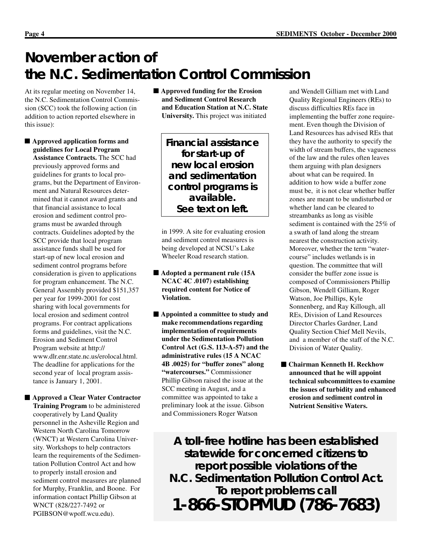## **November action of the N.C. Sedimentation Control Commission**

At its regular meeting on November 14, the N.C. Sedimentation Control Commission (SCC) took the following action (in addition to action reported elsewhere in this issue):

■ **Approved application forms and guidelines for Local Program Assistance Contracts.** The SCC had previously approved forms and guidelines for grants to local programs, but the Department of Environment and Natural Resources determined that it cannot award grants and that financial assistance to local erosion and sediment control programs must be awarded through contracts. Guidelines adopted by the SCC provide that local program assistance funds shall be used for start-up of new local erosion and sediment control programs before consideration is given to applications for program enhancement. The N.C. General Assembly provided \$151,357 per year for 1999-2001 for cost sharing with local governments for local erosion and sediment control programs. For contract applications forms and guidelines, visit the N.C. Erosion and Sediment Control Program website at http:// www.dlr.enr.state.nc.us/erolocal.html. The deadline for applications for the second year of local program assistance is January 1, 2001.

■ **Approved a Clear Water Contractor Training Program** to be administered cooperatively by Land Quality personnel in the Asheville Region and Western North Carolina Tomorrow (WNCT) at Western Carolina University. Workshops to help contractors learn the requirements of the Sedimentation Pollution Control Act and how to properly install erosion and sediment control measures are planned for Murphy, Franklin, and Boone. For information contact Phillip Gibson at WNCT (828/227-7492 or PGIBSON@wpoff.wcu.edu).

■ **Approved funding for the Erosion and Sediment Control Research and Education Station at N.C. State University.** This project was initiated

> **Financial assistance for start-up of new local erosion and sedimentation control programs is available. See text on left.**

in 1999. A site for evaluating erosion and sediment control measures is being developed at NCSU's Lake Wheeler Road research station.

- **Adopted a permanent rule (15A NCAC 4C .0107) establishing required content for Notice of Violation.**
- **Appointed a committee to study and make recommendations regarding implementation of requirements under the Sedimentation Pollution Control Act (G.S. 113-A-57) and the administrative rules (15 A NCAC 4B .0025) for "buffer zones" along "watercourses."** Commissioner Phillip Gibson raised the issue at the SCC meeting in August, and a committee was appointed to take a preliminary look at the issue. Gibson and Commissioners Roger Watson

and Wendell Gilliam met with Land Quality Regional Engineers (REs) to discuss difficulties REs face in implementing the buffer zone requirement. Even though the Division of Land Resources has advised REs that they have the authority to specify the width of stream buffers, the vagueness of the law and the rules often leaves them arguing with plan designers about what can be required. In addition to how wide a buffer zone must be, it is not clear whether buffer zones are meant to be undisturbed or whether land can be cleared to streambanks as long as visible sediment is contained with the 25% of a swath of land along the stream nearest the construction activity. Moreover, whether the term "watercourse" includes wetlands is in question. The committee that will consider the buffer zone issue is composed of Commissioners Phillip Gibson, Wendell Gilliam, Roger Watson, Joe Phillips, Kyle Sonnenberg, and Ray Killough, all REs, Division of Land Resources Director Charles Gardner, Land Quality Section Chief Mell Nevils, and a member of the staff of the N.C. Division of Water Quality.

■ **Chairman Kenneth H. Reckhow announced that he will appoint technical subcommittees to examine the issues of turbidity and enhanced erosion and sediment control in Nutrient Sensitive Waters.**

**A toll-free hotline has been established statewide for concerned citizens to report possible violations of the N.C. Sedimentation Pollution Control Act. To report problems call 1-866-STOPMUD (786-7683)**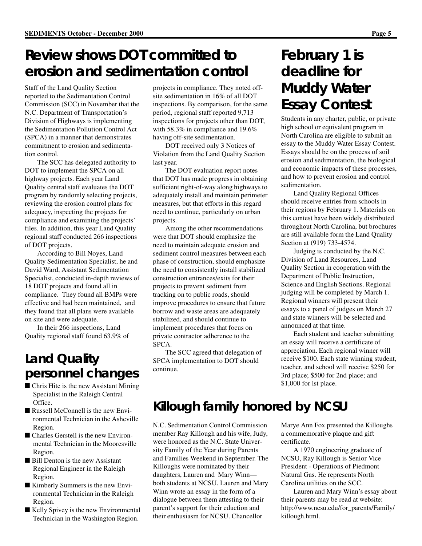## **Review shows DOT committed to erosion and sedimentation control**

Staff of the Land Quality Section reported to the Sedimentation Control Commission (SCC) in November that the N.C. Department of Transportation's Division of Highways is implementing the Sedimentation Pollution Control Act (SPCA) in a manner that demonstrates commitment to erosion and sedimentation control.

The SCC has delegated authority to DOT to implement the SPCA on all highway projects. Each year Land Quality central staff evaluates the DOT program by randomly selecting projects, reviewing the erosion control plans for adequacy, inspecting the projects for compliance and examining the projects' files. In addition, this year Land Quality regional staff conducted 266 inspections of DOT projects.

According to Bill Noyes, Land Quality Sedimentation Specialist, he and David Ward, Assistant Sedimentation Specialist, conducted in-depth reviews of 18 DOT projects and found all in compliance. They found all BMPs were effective and had been maintained, and they found that all plans were available on site and were adequate.

In their 266 inspections, Land Quality regional staff found 63.9% of

#### **Land Quality personnel changes**

- Chris Hite is the new Assistant Mining Specialist in the Raleigh Central Office.
- Russell McConnell is the new Environmental Technician in the Asheville Region.
- Charles Gerstell is the new Environmental Technician in the Mooresville Region.
- Bill Denton is the new Assistant Regional Engineer in the Raleigh Region.
- Kimberly Summers is the new Environmental Technician in the Raleigh Region.
- Kelly Spivey is the new Environmental Technician in the Washington Region.

projects in compliance. They noted offsite sedimentation in 16% of all DOT inspections. By comparison, for the same period, regional staff reported 9,713 inspections for projects other than DOT, with 58.3% in compliance and 19.6% having off-site sedimentation.

DOT received only 3 Notices of Violation from the Land Quality Section last year.

The DOT evaluation report notes that DOT has made progress in obtaining sufficient right-of-way along highways to adequately install and maintain perimeter measures, but that efforts in this regard need to continue, particularly on urban projects.

Among the other recommendations were that DOT should emphasize the need to maintain adequate erosion and sediment control measures between each phase of construction, should emphasize the need to consistently install stabilized construction entrances/exits for their projects to prevent sediment from tracking on to public roads, should improve procedures to ensure that future borrow and waste areas are adequately stabilized, and should continue to implement procedures that focus on private contractor adherence to the SPCA.

The SCC agreed that delegation of SPCA implementation to DOT should continue.

## **February 1 is deadline for Muddy Water Essay Contest**

Students in any charter, public, or private high school or equivalent program in North Carolina are eligible to submit an essay to the Muddy Water Essay Contest. Essays should be on the process of soil erosion and sedimentation, the biological and economic impacts of these processes, and how to prevent erosion and control sedimentation.

Land Quality Regional Offices should receive entries from schools in their regions by February 1. Materials on this contest have been widely distributed throughout North Carolina, but brochures are still available form the Land Quality Section at (919) 733-4574.

Judging is conducted by the N.C. Division of Land Resources, Land Quality Section in cooperation with the Department of Public Instruction, Science and English Sections. Regional judging will be completed by March 1. Regional winners will present their essays to a panel of judges on March 27 and state winners will be selected and announced at that time.

Each student and teacher submitting an essay will receive a certificate of appreciation. Each regional winner will receive \$100. Each state winning student, teacher, and school will receive \$250 for 3rd place; \$500 for 2nd place; and \$1,000 for lst place.

#### **Killough family honored by NCSU**

N.C. Sedimentation Control Commission member Ray Killough and his wife, Judy, were honored as the N.C. State University Family of the Year during Parents and Families Weekend in September. The Killoughs were nominated by their daughters, Lauren and Mary Winn both students at NCSU. Lauren and Mary Winn wrote an essay in the form of a dialogue between them attesting to their parent's support for their eduction and their enthusiasm for NCSU. Chancellor

Marye Ann Fox presented the Killoughs a commemorative plaque and gift certificate.

A 1970 engineering graduate of NCSU, Ray Killough is Senior Vice President - Operations of Piedmont Natural Gas. He represents North Carolina utilities on the SCC.

Lauren and Mary Winn's essay about their parents may be read at website: http://www.ncsu.edu/for\_parents/Family/ killough.html.